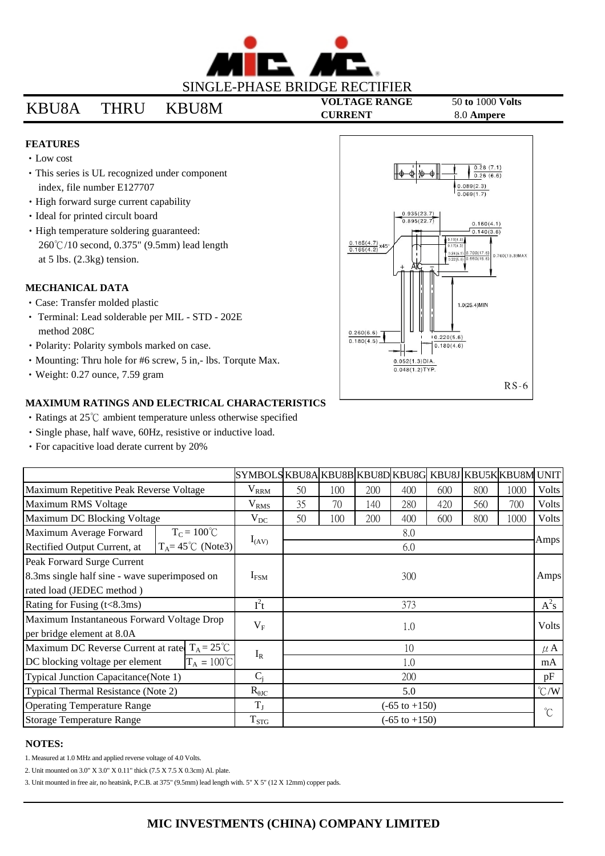

# **VOLTAGE RANGE** 50 **to** 1000 **Volts** KBU8A THRU KBU8M **CURRENT** 8.0 **Ampere**

## **FEATURES**

- Low cost
- This series is UL recognized under component index, file number E127707
- High forward surge current capability
- Ideal for printed circult board
- High temperature soldering guaranteed: 260°C/10 second, 0.375" (9.5mm) lead length at 5 lbs. (2.3kg) tension.

#### **MECHANICAL DATA**

- Case: Transfer molded plastic
- Terminal: Lead solderable per MIL STD 202E method 208C
- Polarity: Polarity symbols marked on case.
- Mounting: Thru hole for #6 screw, 5 in,- lbs. Torqute Max.
- Weight: 0.27 ounce, 7.59 gram

### **MAXIMUM RATINGS AND ELECTRICAL CHARACTERISTICS**

- Ratings at 25°C ambient temperature unless otherwise specified
- Single phase, half wave, 60Hz, resistive or inductive load.
- For capacitive load derate current by 20%

|                                                                                                                      |                              | SYMBOLSKBU8AKBU8BKBU8DKBU8GKBU8JKBU5KKBU8M |                          |     |     |     |     |     |               | <b>UNIT</b>  |
|----------------------------------------------------------------------------------------------------------------------|------------------------------|--------------------------------------------|--------------------------|-----|-----|-----|-----|-----|---------------|--------------|
| Maximum Repetitive Peak Reverse Voltage                                                                              |                              | $V_{\rm RRM}$                              | 50                       | 100 | 200 | 400 | 600 | 800 | 1000          | <b>Volts</b> |
| Maximum RMS Voltage                                                                                                  |                              | $\rm V_{RMS}$                              | 35                       | 70  | 140 | 280 | 420 | 560 | 700           | <b>Volts</b> |
| Maximum DC Blocking Voltage                                                                                          |                              | $V_{DC}$                                   | 50                       | 100 | 200 | 400 | 600 | 800 | 1000          | <b>Volts</b> |
| Maximum Average Forward                                                                                              | $T_C = 100^{\circ}C$         |                                            | 8.0                      |     |     |     |     |     |               | Amps         |
| Rectified Output Current, at                                                                                         | $T_A = 45^{\circ}$ C (Note3) | $I_{(AV)}$                                 | 6.0                      |     |     |     |     |     |               |              |
| Peak Forward Surge Current                                                                                           |                              |                                            | 300                      |     |     |     |     |     |               | Amps         |
| 8.3ms single half sine - wave superimposed on                                                                        |                              | $I_{\rm{FSM}}$                             |                          |     |     |     |     |     |               |              |
| rated load (JEDEC method)                                                                                            |                              |                                            |                          |     |     |     |     |     |               |              |
| Rating for Fusing (t<8.3ms)                                                                                          |                              | $I^2t$                                     | 373                      |     |     |     |     |     |               | $A^2s$       |
| Maximum Instantaneous Forward Voltage Drop                                                                           |                              | $V_F$                                      | 1.0                      |     |     |     |     |     |               | <b>Volts</b> |
| per bridge element at 8.0A                                                                                           |                              |                                            |                          |     |     |     |     |     |               |              |
| $T_A = 25^{\circ}C$<br>Maximum DC Reverse Current at rate<br>$T_A = 100^{\circ}C$<br>DC blocking voltage per element |                              | $I_R$                                      | 10                       |     |     |     |     |     |               | $\mu$ A      |
|                                                                                                                      |                              |                                            | 1.0                      |     |     |     |     |     |               | mA           |
| Typical Junction Capacitance(Note 1)                                                                                 |                              | $C_i$                                      | 200                      |     |     |     |     |     |               | pF           |
| Typical Thermal Resistance (Note 2)                                                                                  |                              | $R_{\theta JC}$                            | 5.0                      |     |     |     |     |     | $\degree$ C/W |              |
| <b>Operating Temperature Range</b>                                                                                   |                              | $T_{J}$                                    | $(-65 \text{ to } +150)$ |     |     |     |     |     |               | $^{\circ}C$  |
| <b>Storage Temperature Range</b>                                                                                     |                              | $T_{STG}$                                  | $(-65 \text{ to } +150)$ |     |     |     |     |     |               |              |

#### **NOTES:**

1. Measured at 1.0 MHz and applied reverse voltage of 4.0 Volts.

2. Unit mounted on 3.0" X 3.0" X 0.11" thick (7.5 X 7.5 X 0.3cm) Al. plate.

3. Unit mounted in free air, no heatsink, P.C.B. at 375" (9.5mm) lead length with. 5" X 5" (12 X 12mm) copper pads.